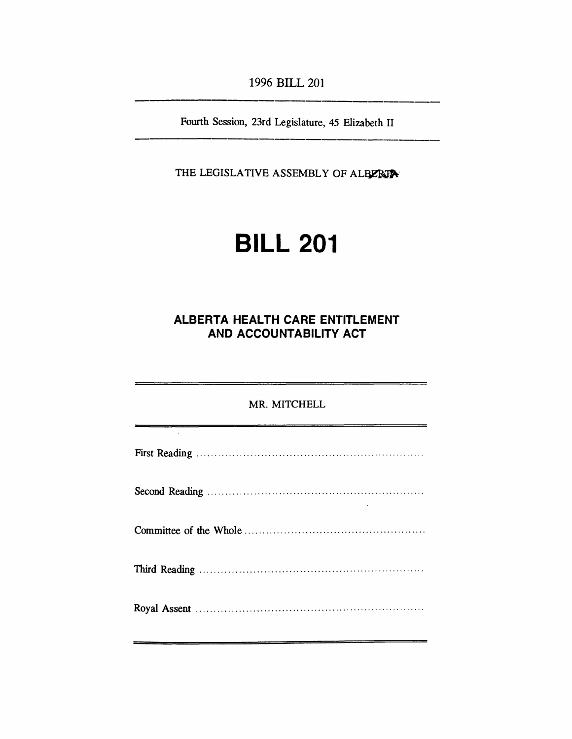*1996 BILL 201*

*Fourth Session, 23rd Legislature, 45 Elizabeth II*

*THE LEGISLATIVE ASSEMBLY OF ALBERTA*

# *BILL 201*

# *ALBERTA HEALTH CARE ENTITLEMENT AND ACCOUNTABILITY ACT*

| MR. MITCHELL |  |
|--------------|--|
|              |  |
|              |  |
|              |  |
|              |  |
|              |  |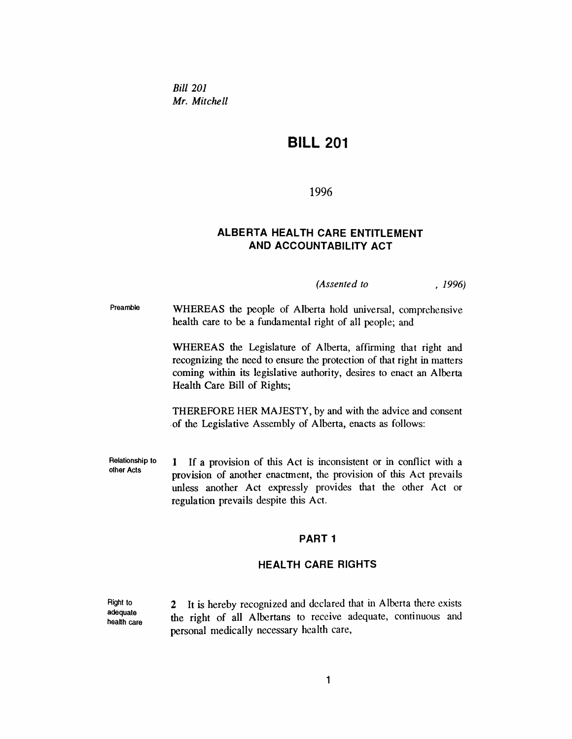*Bill 201 Mr. Mitchell*

# *BILL 201*

#### *1996*

### *ALBERTA HEALTH CARE ENTITLEMENT AND ACCOUNTABILITY ACT*

*(Assented to , 1996)*

*Preamble WHEREAS the people of Alberta hold universal, comprehensive health care to be a fundamental right of all people; and*

> *WHEREAS the Legislature of Alberta, affirming that right and recognizing the need to ensure the protection of that right in matters coming within its legislative authority, desires to enact an Alberta Health Care Bill of Rights;*

> *THEREFORE HER MAJESTY, by and with the advice and consent of the Legislative Assembly of Alberta, enacts as follows:*

*Relationship to other Acts <sup>1</sup> If a provision of this Act is inconsistent or in conflict with a provision of another enactment, the provision of this Act prevails unless another Act expressly provides that the other Act or regulation prevails despite this Act.*

#### *PART <sup>1</sup>*

#### *HEALTH CARE RIGHTS*

*Right to adequate health care 2 It is hereby recognized and declared that in Alberta there exists the right of all Albertans to receive adequate, continuous and personal medically necessary health care,*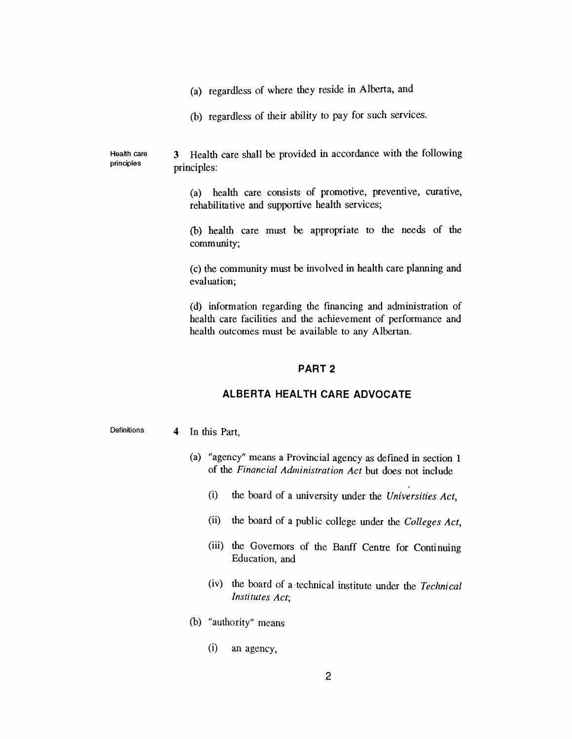- *(a) regardless of where they reside in Alberta, and*
- *(b) regardless of their ability to pay for such services.*

*Health care principles 3 Health care shall be provided in accordance with the following principles:*

> *(a) health care consists of promotive, preventive, curative, rehabilitative and supportive health services;*

> *(b) health care must be appropriate to the needs of the community;*

> *(c) the community must be involved in health care planning and evaluation;*

> *(d) information regarding the financing and administration of health care facilities and the achievement of performance and health outcomes must be available to any Albertan.*

#### *PART 2*

#### *ALBERTA HEALTH CARE ADVOCATE*

*Definitions 4 In this Part,*

- *(a) "agency" means a Provincial agency as defined in section <sup>1</sup> of the Financial Administration Act but does not include*
	- *(i) the board of a university under the Universities Act,*
	- *(ii) the board of a public college under the Colleges Act,*
	- *(iii) the Governors of the Banff Centre for Continuing Education, and*
	- *(iv) the board of a technical institute under the Technical Institutes Act;*
- *(b) "authority" means*
	- *(i) an agency,*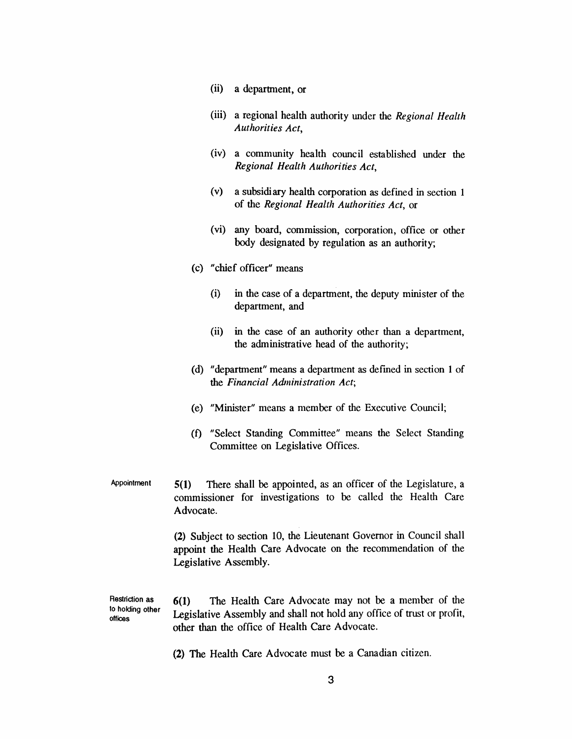- *(ii) a department, or*
- *(iii) a regional health authority under the Regional Health Authorities Act,*
- *(iv) a community health council established under the Regional Health Authorities Act,*
- *(v) a subsidiary health corporation as defined in section <sup>1</sup> of the Regional Health Authorities Act, or*
- *(vi) any board, commission, corporation, office or other body designated by regulation as an authority;*
- *(c) "chief officer" means*
	- *(i) in the case of a department, the deputy minister of the department, and*
	- *(ii) in the case of an authority other than a department, the administrative head of the authority;*
- *(d) "department" means a department as defined in section <sup>1</sup> of the Financial Administration Act;*
- *(e) "Minister" means a member of the Executive Council;*
- *(f) "Select Standing Committee" means the Select Standing Committee on Legislative Offices.*
- *Appointment 5(1) There shall be appointed, as an officer of the Legislature, a commissioner for investigations to be called the Health Care Advocate.*

*(2) Subject to section 10, the Lieutenant Governor in Council shall appoint the Health Care Advocate on the recommendation of the Legislative Assembly.*

*Restriction as to holding other offices 6(1) The Health Care Advocate may not be a member of the Legislative Assembly and shall not hold any office of trust or profit, other than the office of Health Care Advocate.*

*(2) The Health Care Advocate must be a Canadian citizen.*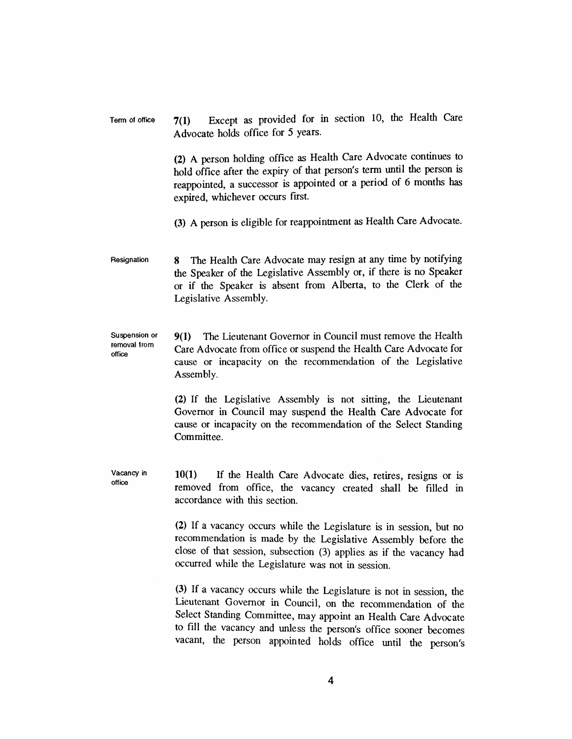*Term of office 7(1) Except as provided for in section 10, the Health Care Advocate holds office for 5 years.*

> *(2) A person holding office as Health Care Advocate continues to hold office after the expiry of that person's term until the person is reappointed, a successor is appointed or a period of 6 months has expired, whichever occurs first.*

> *(3) A person is eligible for reappointment as Health Care Advocate.*

*Resignation 8 The Health Care Advocate may resign at any time by notifying the Speaker of the Legislative Assembly or, if there is no Speaker or if the Speaker is absent from Alberta, to the Clerk of the Legislative Assembly.*

*Suspension or removal from office 9(1) The Lieutenant Governor in Council must remove the Health Care Advocate from office or suspend the Health Care Advocate for cause or incapacity on the recommendation of the Legislative Assembly.*

> *(2) If the Legislative Assembly is not sitting, the Lieutenant Governor in Council may suspend the Health Care Advocate for cause or incapacity on the recommendation of the Select Standing Committee.*

*Vacancy in office 10(1) If the Health Care Advocate dies, retires, resigns or is removed from office, the vacancy created shall be filled in accordance with this section.*

> *(2) If a vacancy occurs while the Legislature is in session, but no recommendation is made by the Legislative Assembly before the close of that session, subsection (3) applies as if the vacancy had occurred while the Legislature was not in session.*

> *(3) If a vacancy occurs while the Legislature is not in session, the Lieutenant Governor in Council, on the recommendation of the Select Standing Committee, may appoint an Health Care Advocate to fill the vacancy and unless the person's office sooner becomes vacant, the person appointed holds office until the person's*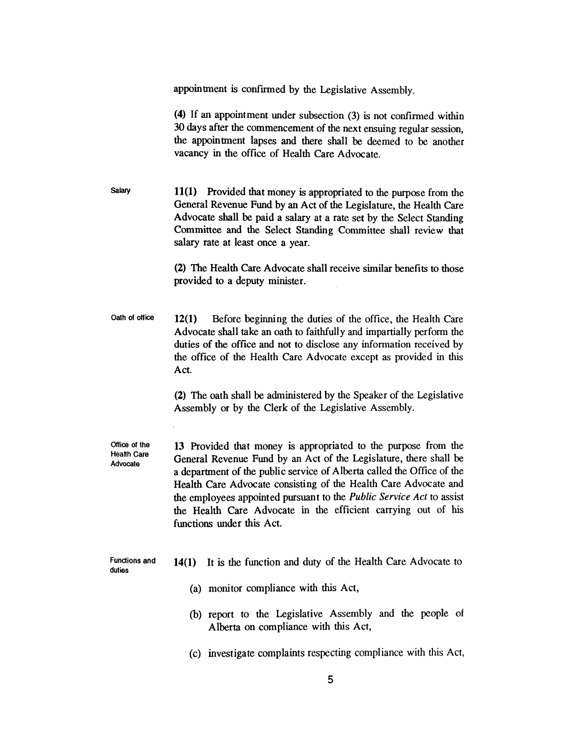|                                          | appointment is confirmed by the Legislative Assembly.                                                                                                                                                                                                                                                                                                                                                                                                  |
|------------------------------------------|--------------------------------------------------------------------------------------------------------------------------------------------------------------------------------------------------------------------------------------------------------------------------------------------------------------------------------------------------------------------------------------------------------------------------------------------------------|
|                                          | (4) If an appointment under subsection (3) is not confirmed within<br>30 days after the commencement of the next ensuing regular session,<br>the appointment lapses and there shall be deemed to be another<br>vacancy in the office of Health Care Advocate.                                                                                                                                                                                          |
| <b>Salary</b>                            | 11(1) Provided that money is appropriated to the purpose from the<br>General Revenue Fund by an Act of the Legislature, the Health Care<br>Advocate shall be paid a salary at a rate set by the Select Standing<br>Committee and the Select Standing Committee shall review that<br>salary rate at least once a year.                                                                                                                                  |
|                                          | (2) The Health Care Advocate shall receive similar benefits to those<br>provided to a deputy minister.                                                                                                                                                                                                                                                                                                                                                 |
| Oath of office                           | 12(1)<br>Before beginning the duties of the office, the Health Care<br>Advocate shall take an oath to faithfully and impartially perform the<br>duties of the office and not to disclose any information received by<br>the office of the Health Care Advocate except as provided in this<br>Act.                                                                                                                                                      |
|                                          | (2) The oath shall be administered by the Speaker of the Legislative<br>Assembly or by the Clerk of the Legislative Assembly.                                                                                                                                                                                                                                                                                                                          |
| Office of the<br>Health Care<br>Advocate | 13 Provided that money is appropriated to the purpose from the<br>General Revenue Fund by an Act of the Legislature, there shall be<br>a department of the public service of Alberta called the Office of the<br>Health Care Advocate consisting of the Health Care Advocate and<br>the employees appointed pursuant to the Public Service Act to assist<br>the Health Care Advocate in the efficient carrying out of his<br>functions under this Act. |
| <b>Functions and</b><br>duties           | It is the function and duty of the Health Care Advocate to<br>14(1)                                                                                                                                                                                                                                                                                                                                                                                    |
|                                          | (a) monitor compliance with this Act,                                                                                                                                                                                                                                                                                                                                                                                                                  |
|                                          | (b) report to the Legislative Assembly and the people of<br>Alberta on compliance with this Act,                                                                                                                                                                                                                                                                                                                                                       |
|                                          | (c) investigate complaints respecting compliance with this Act,                                                                                                                                                                                                                                                                                                                                                                                        |
|                                          | 5                                                                                                                                                                                                                                                                                                                                                                                                                                                      |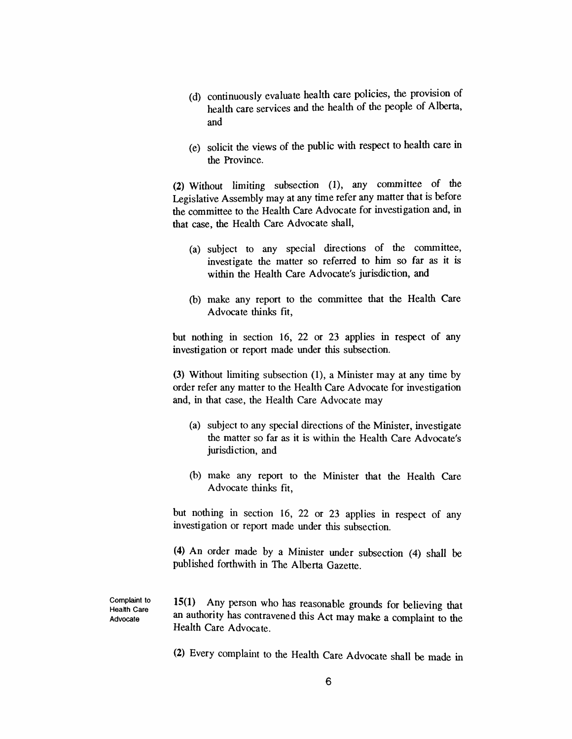- *(d) continuously evaluate health care policies, the provision of health care services and the health of the people of Alberta, and*
- *(e) solicit the views of the public with respect to health care in the Province.*

*(2) Without limiting subsection (1), any committee of the Legislative Assembly may at any time refer any matter that is before the committee to the Health Care Advocate for investigation and, in that case, the Health Care Advocate shall,*

- *(a) subject to any special directions of the committee, investigate the matter so referred to him so far as it is within the Health Care Advocate's jurisdiction, and*
- *(b) make any report to the committee that the Health Care Advocate thinks fit,*

*but nothing in section 16, 22 or 23 applies in respect of any investigation or report made under this subsection.*

*(3) Without limiting subsection (1), a Minister may at any time by order refer any matter to the Health Care Advocate for investigation and, in that case, the Health Care Advocate may*

- *(a) subject to any special directions of the Minister, investigate the matter so far as it is within the Health Care Advocate's jurisdiction, and*
- *(b) make any report to the Minister that the Health Care Advocate thinks fit,*

*but nothing in section 16, 22 or 23 applies in respect of any investigation or report made under this subsection.*

*(4) An order made by a Minister under subsection (4) shall be published forthwith in The Alberta Gazette.*

*Complaint to Health Care Advocate*

*15(1) Any person who has reasonable grounds for believing that an authority has contravened this Act may make a complaint to the Health Care Advocate.*

*(2) Every complaint to the Health Care Advocate shall be made in*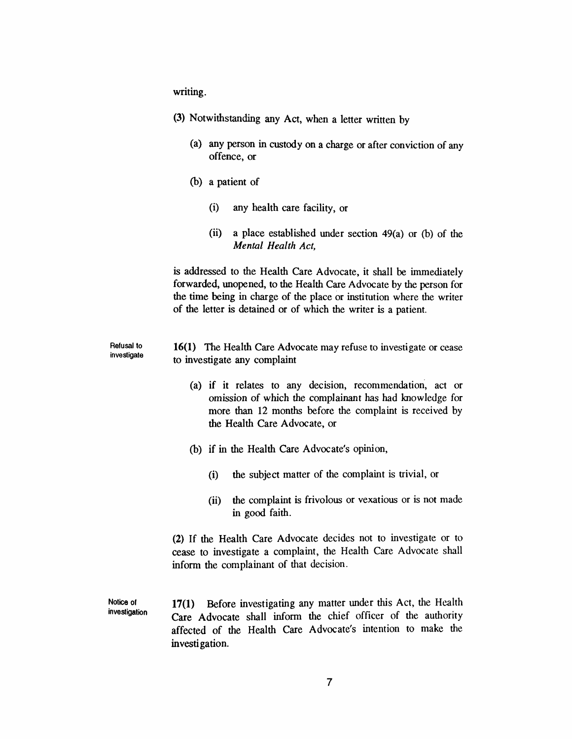*writing.*

|                                  | (3) Notwithstanding any Act, when a letter written by                                                                                                                                                                                                                              |
|----------------------------------|------------------------------------------------------------------------------------------------------------------------------------------------------------------------------------------------------------------------------------------------------------------------------------|
|                                  | (a) any person in custody on a charge or after conviction of any<br>offence, or                                                                                                                                                                                                    |
|                                  | (b) a patient of                                                                                                                                                                                                                                                                   |
|                                  | (i)<br>any health care facility, or                                                                                                                                                                                                                                                |
|                                  | (ii)<br>a place established under section $49(a)$ or (b) of the<br>Mental Health Act,                                                                                                                                                                                              |
|                                  | is addressed to the Health Care Advocate, it shall be immediately<br>forwarded, unopened, to the Health Care Advocate by the person for<br>the time being in charge of the place or institution where the writer<br>of the letter is detained or of which the writer is a patient. |
| <b>Refusal to</b><br>investigate | 16(1) The Health Care Advocate may refuse to investigate or cease<br>to investigate any complaint                                                                                                                                                                                  |
|                                  | (a) if it relates to any decision, recommendation, act or<br>omission of which the complainant has had knowledge for<br>more than 12 months before the complaint is received by<br>the Health Care Advocate, or                                                                    |
|                                  | (b) if in the Health Care Advocate's opinion,                                                                                                                                                                                                                                      |
|                                  | the subject matter of the complaint is trivial, or<br>(i)                                                                                                                                                                                                                          |
|                                  | the complaint is frivolous or vexatious or is not made<br>(ii)<br>in good faith.                                                                                                                                                                                                   |
|                                  | (2) If the Health Care Advocate decides not to investigate or to<br>cease to investigate a complaint, the Health Care Advocate shall<br>inform the complainant of that decision.                                                                                                   |
| Notice of<br>investigation       | 17(1) Before investigating any matter under this Act, the Health<br>Care Advocate shall inform the chief officer of the authority<br>affected of the Health Care Advocate's intention to make the<br>investigation.                                                                |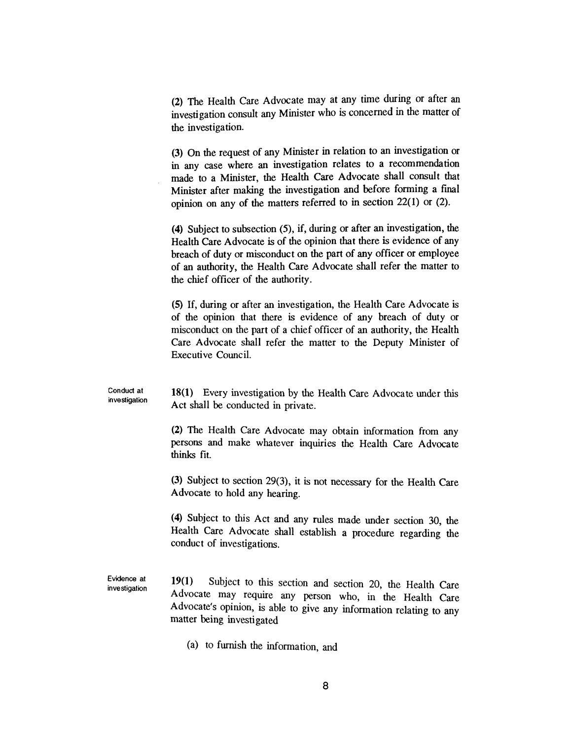*(2) The Health Care Advocate may at any time during or after an investigation consult any <sup>M</sup>inister who is concerned in the matter of the investigation.*

*(3) On the request of any Minister in relation to an investigation or in any case where an investigation relates to a recommendation made to a Minister, the Health Care Advocate shall consult that Minister after making the investigation and before forming a final opinion on any of the matters referred to in section 22(1) or (2).*

*(4) Subject to subsection (5), if, during or after an investigation, the Health Care Advocate is of the opinion that there is evidence of any breach of duty or misconduct on the part of any officer or employee of an authority, the Health Care Advocate shall refer the matter to the chief officer of the authority.*

*(5) If, during or after an investigation, the Health Care Advocate is of the opinion that there is evidence of any breach of duty or misconduct on the part of a chief officer of an authority, the Health Care Advocate shall refer the matter to the Deputy Minister of Executive Council.*

*Conduct at investigation 18(1) Every investigation by the Health Care Advocate under this Act shall be conducted in private.*

> *(2) The Health Care Advocate may obtain information from any persons and make whatever inquiries the Health Care Advocate thinks fit.*

> *(3) Subject to section 29(3), it is not necessary for the Health Care Advocate to hold any hearing.*

> *(4) Subject to this Act and any rules made under section 30, the Health Care Advocate shall establish a procedure regarding the conduct of investigations.*

*Evidence at investigation 19(1) Subject to this section and section 20, the Health Care Advocate may require any person who, in the Health Care Advocate s opinion, is able to give any information relating to any matter being investigated*

*(a) to furnish the information, and*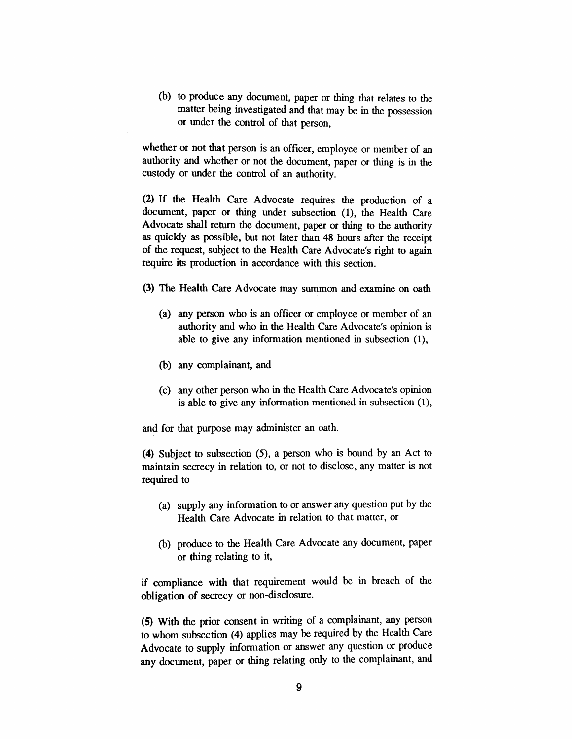*(b) to produce any document, paper or thing that relates to the matter being investigated and that may be in the possession or under the control of that person,*

*whether or not that person is an officer, employee or member of an authority and whether or not the document, paper or thing is in the custody or under the control of an authority.*

*(2) If the Health Care Advocate requires the production of a document, paper or thing under subsection (1), the Health Care Advocate shall return the document, paper or thing to the authority as quickly as possible, but not later than 48 hours after the receipt of the request, subject to the Health Care Advocate's right to again require its production in accordance with this section.*

- *(3) The Health Care Advocate may summon and examine on oath*
	- *(a) any person who is an officer or employee or member of an authority and who in the Health Care Advocate's opinion is able to give any information mentioned in subsection (1),*
	- *(b) any complainant, and*
	- *(c) any other person who in the Health Care Advocate's opinion is able to give any information mentioned in subsection (1),*

*and for that purpose may administer an oath.*

*(4) Subject to subsection (5), a person who is bound by an Act to maintain secrecy in relation to, or not to disclose, any matter is not required to*

- *(a) supply any information to or answer any question put by the Health Care Advocate in relation to that matter, or*
- *(b) produce to the Health Care Advocate any document, paper or thing relating to it,*

*if compliance with that requirement would be in breach of the obligation of secrecy or non-disclosure.*

*(5) With the prior consent in writing of a complainant, any person to whom subsection (4) applies may be required by the Health Care Advocate to supply information or answer any question or produce any document, paper or thing relating only to the complainant, and*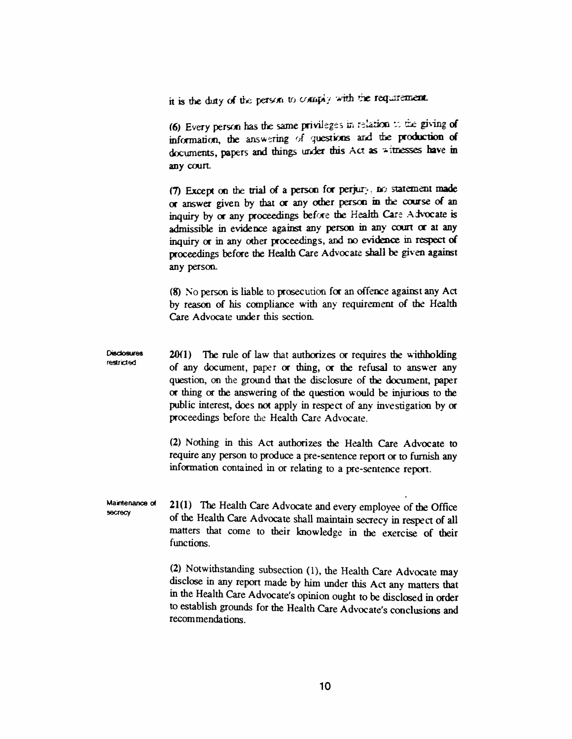*it is the duty of the person to comply with the requirement*

*(6) Every person has the same privileges in relation to the giving of information, the answering of questions and the production of documents, papers and things under this Act as witnesses have in any court*

*(7) Except on the trial of a person for perjury, no statement made or answer given by that or any other person in the course of an inquiry by or any proceedings before the Health Care Advocate is admissible in evidence against any person in any court or at any inquiry or in any other proceedings, and no evidence in respect ci proceedings before the Health Care Advocate shall be given against any person.*

*(8) No person is liable to prosecution for an offence against any Act by reason of his compliance with any requirement of the Health Care Advocate under this section.*

*Disclosures restricted 20(1) The rule of law that authorizes or requires the withholding of any document, paper or thing, or the refusal to answer any question, on the ground that the disclosure of the document, paper or thing or the answering of the question would be injurious to the public interest, does not apply in respect of any investigation by or proceedings before the Health Care Advocate.*

> *(2) Nothing in this Act authorizes the Health Care Advocate to require any person to produce a pre-sentence report or to furnish any information contained in or relating to a pre-sentence report.*

*Maintenance of secrecy 21(1) The Health Care Advocate and every employee of the Office of the Health Care Advocate shall maintain secrecy in respect of all matters that come to their knowledge in the exercise of their functions.*

> *(2) Notwithstanding subsection (1), the Health Care Advocate may disclose in any report made by him under this Act any matters that in the Health Care Advocate's opinion ought to be disclosed in order to establish grounds for the Health Care Advocate's conclusions and recommendations.*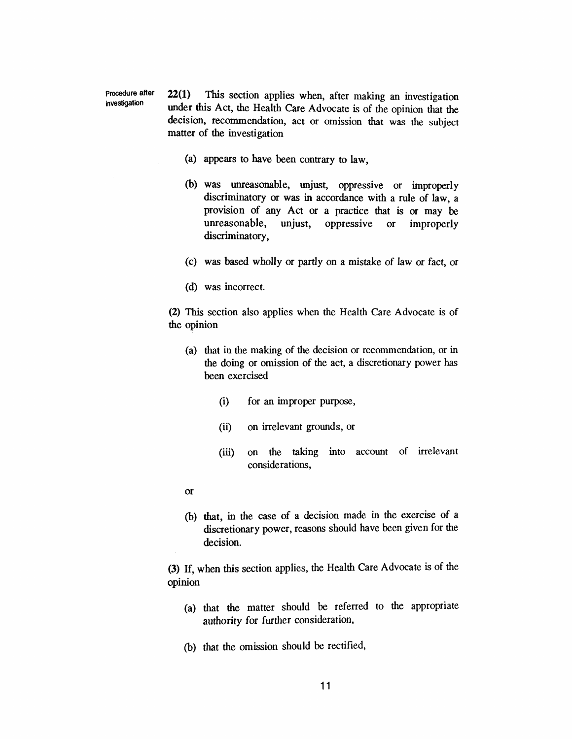*Procedure after investigation 22(1) This section applies when, after making an investigation under this Act, the Health Care Advocate is of the opinion that the decision, recommendation, act or omission that was the subject matter of the investigation*

- *(a) appears to have been contrary to law,*
- *(b) was unreasonable, unjust, oppressive or improperly discriminatory or was in accordance with a rule of law, a provision of any Act or a practice that is or may be unreasonable, unjust, oppressive or improperly discriminatory,*
- *(c) was based wholly or partly on a mistake of law or fact, or*
- *(d) was incorrect.*

*(2) This section also applies when the Health Care Advocate is of the opinion*

- *(a) that in the making of the decision or recommendation, or in the doing or omission of the act, a discretionary power has been exercised*
	- *(i) for an improper purpose,*
	- *(ii) on irrelevant grounds, or*
	- *(iii) on the taking into account of irrelevant considerations,*
- *or*
- *(b) that, in the case of a decision made in the exercise of a discretionary power, reasons should have been given for the decision.*

*(3) If, when this section applies, the Health Care Advocate is of the opinion*

- *(a) that the matter should be referred to the appropriate authority for further consideration,*
- *(b) that the omission should be rectified,*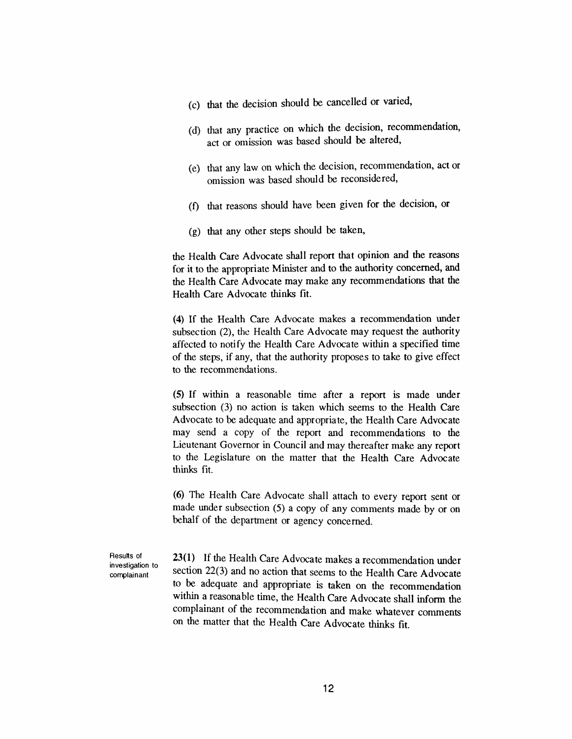- *(c) that the decision should be cancelled or varied,*
- *(d) that any practice on which the decision, recommendation, act or omission was based should be altered,*
- *(e) that any law on which the decision, recommendation, act or omission was based should be reconsidered,*
- *(f) that reasons should have been given for the decision, or*
- *(g) that any other steps should be taken,*

*the Health Care Advocate shall report that opinion and the reasons for it to the appropriate Minister and to the authority concerned, and the Health Care Advocate may make any recommendations that the Health Care Advocate thinks fit.*

*(4) If the Health Care Advocate makes a recommendation under subsection (2), the Health Care Advocate may request the authority affected to notify the Health Care Advocate within a specified time of the steps, if any, that the authority proposes to take to give effect to the recommendations.*

*(5) If within a reasonable time after a report is made under subsection (3) no action is taken which seems to the Health Care Advocate to be adequate and appropriate, the Health Care Advocate may send a copy of the report and recommendations to the Lieutenant Governor in Council and may thereafter make any report to the Legislature on the matter that the Health Care Advocate thinks fit.*

*(6) The Health Care Advocate shall attach to every report sent or made under subsection (5) a copy of any comments made by or on behalf of the department or agency concerned.*

*Results of investigation to complainant*

*23(1) If the Health Care Advocate makes a recommendation under section 22(3) and no action that seems to the Health Care Advocate to be adequate and appropriate is taken on the recommendation within a reasonable time, the Health Care Advocate shall inform the complainant of the recommendation and make whatever comments on the matter that the Health Care Advocate thinks fit.*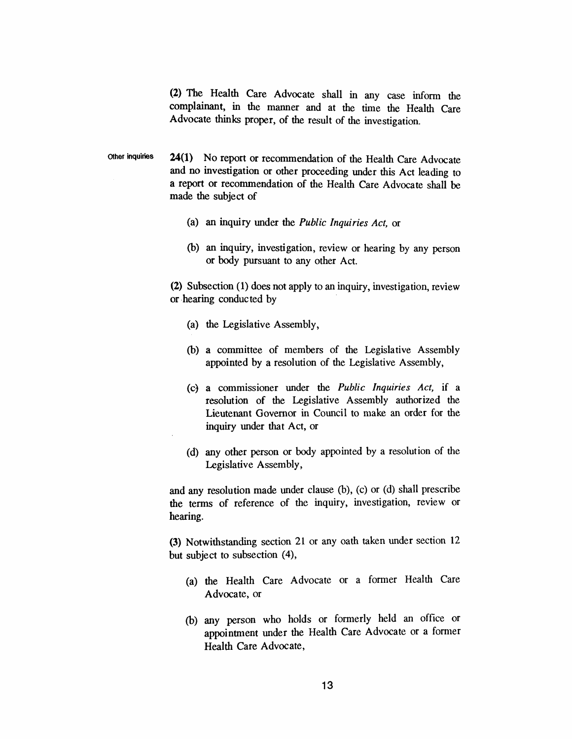*(2) The Health Care Advocate shall in any case inform the complainant, in the manner and at the time the Health Care Advocate thinks proper, of the result of the investigation.*

*Other inquiries 24(1) No report or recommendation of the Health Care Advocate and no investigation or other proceeding under this Act leading to a report or recommendation of the Health Care Advocate shall be made the subject of*

- *(a) an inquiry under the Public Inquiries Act, or*
- *(b) an inquiry, investigation, review or hearing by any person or body pursuant to any other Act.*

*(2) Subsection (1) does not apply to an inquiry, investigation, review or hearing conducted by*

- *(a) the Legislative Assembly,*
- *(b) a committee of members of the Legislative Assembly appointed by a resolution of the Legislative Assembly,*
- *(c) a commissioner under the Public Inquiries Act, if a resolution of the Legislative Assembly authorized the Lieutenant Governor in Council to make an order for the inquiry under that Act, or*
- *(d) any other person or body appointed by a resolution of the Legislative Assembly,*

*and any resolution made under clause (b), (c) or (d) shall prescribe the terms of reference of the inquiry, investigation, review or hearing.*

*(3) Notwithstanding section 21 or any oath taken under section 12 but subject to subsection (4),*

- *(a) the Health Care Advocate or a former Health Care Advocate, or*
- *(b) any person who holds or formerly held an office or appointment under the Health Care Advocate or a former Health Care Advocate,*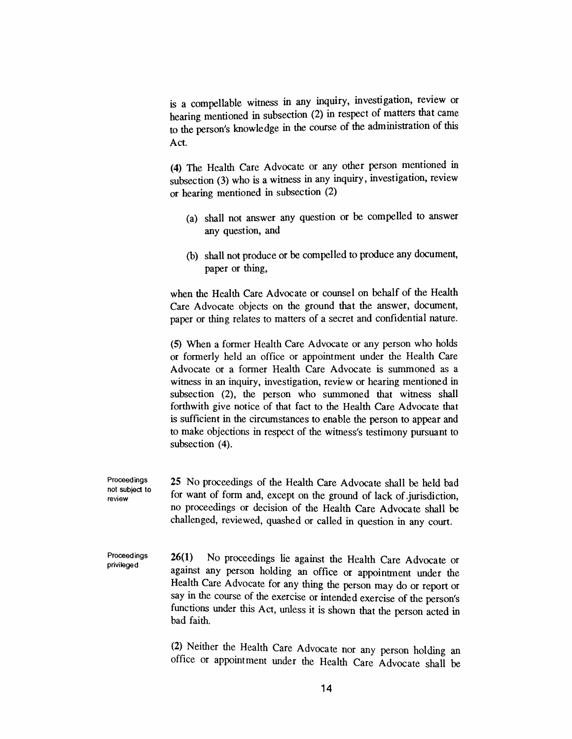*is a compellable witness in any inquiry, investigation, review or hearing mentioned in subsection (2) in respect of matters that came to the person's knowledge in the course of the administration of this Act.*

*(4) The Health Care Advocate or any other person mentioned in subsection (3) who is a witness in any inquiry, investigation, review or hearing mentioned in subsection (2)*

- *(a) shall not answer any question or be compelled to answer any question, and*
- *(b) shall not produce or be compelled to produce any document, paper or thing,*

*when the Health Care Advocate or counsel on behalf of the Health Care Advocate objects on the ground that the answer, document, paper or thing relates to matters of a secret and confidential nature.*

*(5) When a former Health Care Advocate or any person who holds or formerly held an office or appointment under the Health Care Advocate or a former Health Care Advocate is summoned as a witness in an inquiry, investigation, review or hearing mentioned in subsection (2), the person who summoned that witness shall forthwith give notice of that fact to the Health Care Advocate that is sufficient in the circumstances to enable the person to appear and to make objections in respect of the witness's testimony pursuant to subsection (4).*

*Proceedings not subject to review 25 No proceedings of the Health Care Advocate shall be held bad for want of form and, except on the ground of lack of.jurisdiction, no proceedings or decision of the Health Care Advocate shall be challenged, reviewed, quashed or called in question in any court.*

*Proceedings privileged 26(1) No proceedings lie against the Health Care Advocate or against any person holding an office or appointment under the Health Care Advocate for any thing the person may do or report or say in the course of the exercise or intended exercise of the person's functions under this Act, unless it is shown that the person acted in bad faith.*

> *(2) Neither the Health Care Advocate nor any person holding an office or appointment under the Health Care Advocate shall be*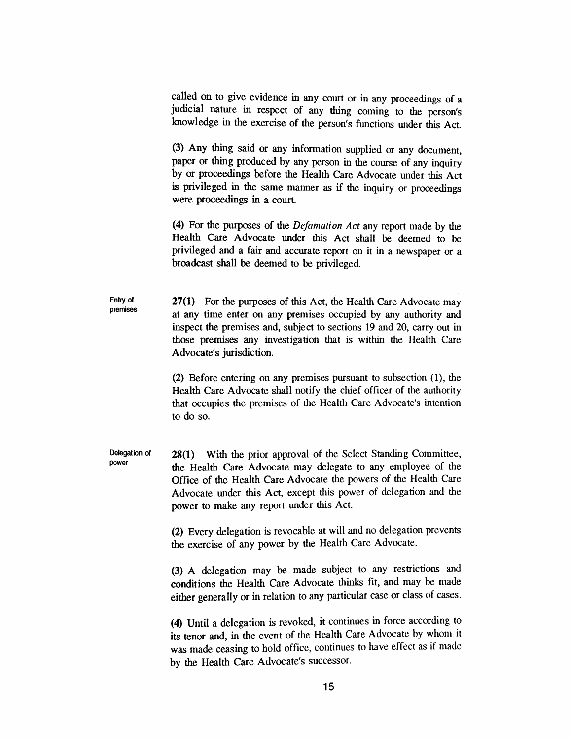*called on to give evidence in any court or in any proceedings of a judicial nature in respect of any thing coming to the person's knowledge in the exercise of the person's functions under this Act.*

*(3) Any thing said or any information supplied or any document, paper or thing produced by any person in the course of any inquiry by or proceedings before the Health Care Advocate under this Act is privileged in the same manner as if the inquiry or proceedings were proceedings in a court.*

*(4) For the purposes of the Defamation Act any report made by the Health Care Advocate under this Act shall be deemed to be privileged and a fair and accurate report on it in a newspaper or a broadcast shall be deemed to be privileged.*

*Entry of premises 27(1) For the purposes of this Act, the Health Care Advocate may at any time enter on any premises occupied by any authority and inspect the premises and, subject to sections 19 and 20, carry out in those premises any investigation that is within the Health Care Advocate's jurisdiction.*

> *(2) Before entering on any premises pursuant to subsection (1), the Health Care Advocate shall notify the chief officer of the authority that occupies the premises of the Health Care Advocate's intention to do so.*

*Delegation of power 28(1) With the prior approval of the Select Standing Committee, the Health Care Advocate may delegate to any employee of the Office of the Health Care Advocate the powers of the Health Care Advocate under this Act, except this power of delegation and the power to make any report under this Act.*

> *(2) Every delegation is revocable at will and no delegation prevents the exercise of any power by the Health Care Advocate.*

> *(3) A delegation may be made subject to any restrictions and conditions the Health Care Advocate thinks fit, and may be made either generally or in relation to any particular case or class of cases.*

> *(4) Until a delegation is revoked, it continues in force according to its tenor and, in the event of the Health Care Advocate by whom it was made ceasing to hold office, continues to have effect as if made by the Health Care Advocate's successor.*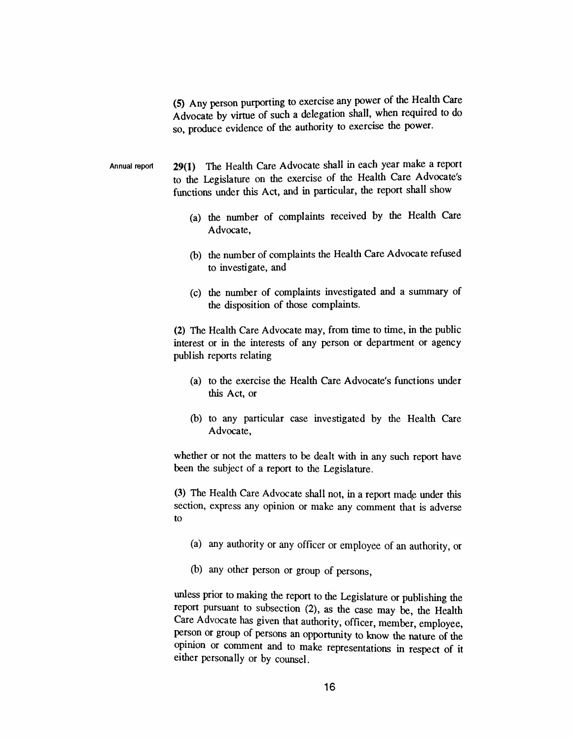*(5) Any person purporting to exercise any power of the Health Care Advocate by virtue of such a delegation shall, when required to do so, produce evidence of the authority to exercise the power.*

*Annual report 29(1) The Health Care Advocate shall in each year make a report to the Legislature on the exercise of the Health Care Advocate's functions under this Act, and in particular, the report shall show*

- *(a) the number of complaints received by the Health Care Advocate,*
- *(b) the number of complaints the Health Care Advocate refused to investigate, and*
- *(c) the number of complaints investigated and a summary of the disposition of those complaints.*

*(2) The Health Care Advocate may, from time to time, in the public interest or in the interests of any person or department or agency publish reports relating*

- *(a) to the exercise the Health Care Advocate's functions under this Act, or*
- *(b) to any particular case investigated by the Health Care Advocate,*

*whether or not the matters to be dealt with in any such report have been the subject of a report to the Legislature.*

*(3) The Health Care Advocate shall not, in a report made under this section, express any opinion or make any comment that is adverse to*

- *(a) any authority or any officer or employee of an authority, or*
- *(b) any other person or group of persons,*

*unless prior to making the report to the Legislature or publishing the report pursuant to subsection (2), as the case may be, the Health Care Advocate has given that authority, officer, member, employee, person or group of persons an opportunity to know the nature of the opinion or comment and to make representations in respect of it either personally or by counsel.*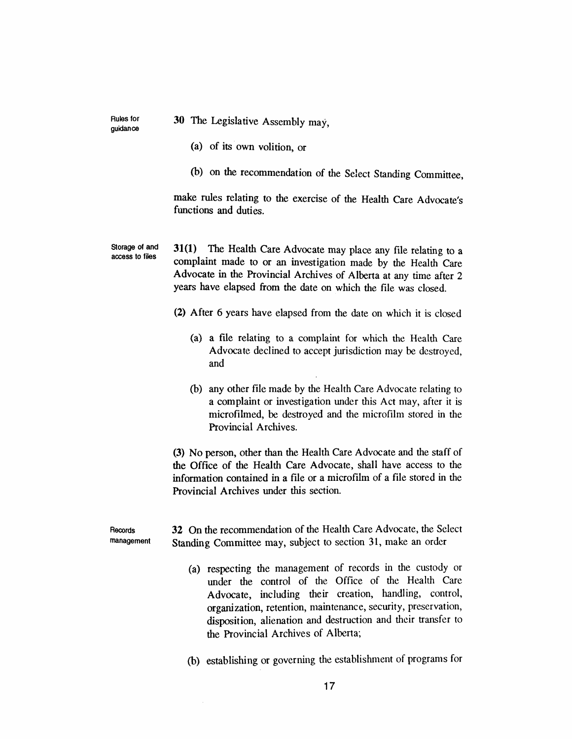*Rules for guidance*

*30 The Legislative Assembly may,*

- *(a) of its own volition, or*
- *(b) on the recommendation of the Select Standing Committee,*

*make rules relating to the exercise of the Health Care Advocate's functions and duties.*

*Storage of and access to files 31(1) The Health Care Advocate may place any file relating to a complaint made to or an investigation made by the Health Care Advocate in the Provincial Archives of Alberta at any time after 2 years have elapsed from the date on which the file was closed.*

- *(2) After 6 years have elapsed from the date on which it is closed*
	- *(a) a file relating to a complaint for which the Health Care Advocate declined to accept jurisdiction may be destroyed, and*
	- *(b) any other file made by the Health Care Advocate relating to a complaint or investigation under this Act may, after it is microfilmed, be destroyed and the microfilm stored in the Provincial Archives.*

*(3) No person, other than the Health Care Advocate and the staff of the Office of the Health Care Advocate, shall have access to the information contained in a file or a microfilm of a file stored in the Provincial Archives under this section.*

*Records management 32 On the recommendation of the Health Care Advocate, the Select Standing Committee may, subject to section 31, make an order*

- *(a) respecting the management of records in the custody or under the control of the Office of the Health Care Advocate, including their creation, handling, control, organization, retention, maintenance, security, preservation, disposition, alienation and destruction and their transfer to the Provincial Archives of Alberta;*
- *(b) establishing or governing the establishment of programs for*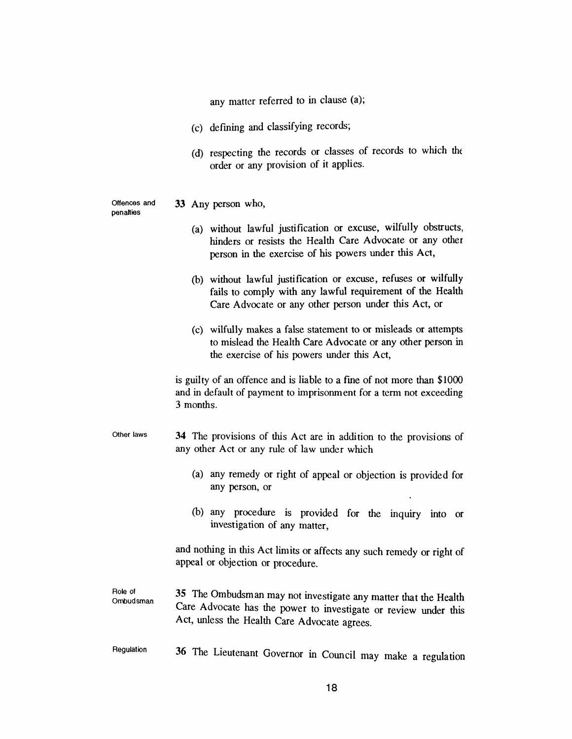*any matter referred to in clause (a);*

- *(c) defining and classifying records;*
- *(d) respecting the records or classes of records to which the order or any provision of it applies.*

*Offences and 33 Any person who,*

- *penalties (a) without lawful justification or excuse, wilfully obstructs, hinders or resists the Health Care Advocate or any other person in the exercise of his powers under this Act, (b) without lawful justification or excuse, refuses or wilfully fails to comply with any lawful requirement of the Health Care Advocate or any other person under this Act, or (c) wilfully makes a false statement to or misleads or attempts to mislead the Health Care Advocate or any other person in the exercise of his powers under this Act, is guilty of an offence and is liable to a fine of not more than \$1000 and in default of payment to imprisonment for a term not exceeding 3 months. Other laws 34 The provisions of this Act are in addition to the provisions of any other Act or any rule of law under which (a) any remedy or right of appeal or objection is provided for any person, or (b) any procedure is provided for the inquiry into or investigation of any matter, and nothing in this Act limits or affects any such remedy or right of appeal or objection or procedure. Role of Ombudsman 35 The Ombudsman may not investigate any matter that the Health Care Advocate has the power to investigate or review under this Act, unless the Health Care Advocate agrees.*
	- *Regulation 36 The Lieutenant Governor in Council may make a regulation*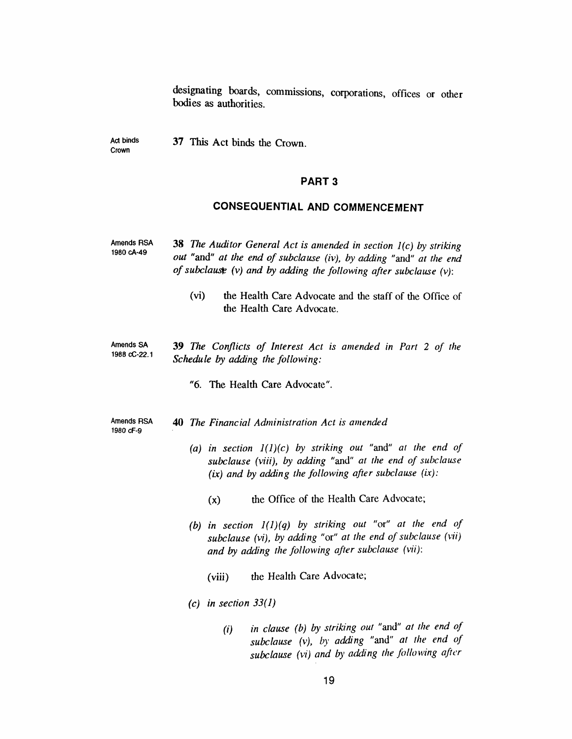*designating boards, commissions, corporations, offices or other bodies as authorities.*

*Act binds Crown 37 This Act binds the Crown.*

#### *PART 3*

## *CONSEQUENTIAL AND COMMENCEMENT*

| <b>Amends RSA</b><br>1980 cA-49 | <b>38</b> The Auditor General Act is amended in section $I(c)$ by striking<br>out "and" at the end of subclause (iv), by adding "and" at the end<br>of subclause (v) and by adding the following after subclause $(v)$ :<br>(vi)<br>the Health Care Advocate and the staff of the Office of<br>the Health Care Advocate.                                                                                                                                                                 |
|---------------------------------|------------------------------------------------------------------------------------------------------------------------------------------------------------------------------------------------------------------------------------------------------------------------------------------------------------------------------------------------------------------------------------------------------------------------------------------------------------------------------------------|
| Amends SA<br>1988 cC-22.1       | <b>39</b> The Conflicts of Interest Act is amended in Part 2 of the<br>Schedule by adding the following:<br>"6. The Health Care Advocate".                                                                                                                                                                                                                                                                                                                                               |
| <b>Amends RSA</b><br>1980 cF-9  | <b>40</b> The Financial Administration Act is amended<br>(a) in section $I(1)(c)$ by striking out "and" at the end of<br>subclause (viii), by adding "and" at the end of subclause<br>$(ix)$ and by adding the following after subclause $(ix)$ :<br>the Office of the Health Care Advocate;<br>(x)<br>(b) in section $I(1)(q)$ by striking out "or" at the end of<br>subclause (vi), by adding "or" at the end of subclause (vii)<br>and by adding the following after subclause (vii): |

*(viii) the Health Care Advocate;*

*(c) in section 33(1)*

*(i) in clause (b) by striking out "and" at the end of subclause (v), by adding "and" at the end of subclause (vi) and by adding the following after*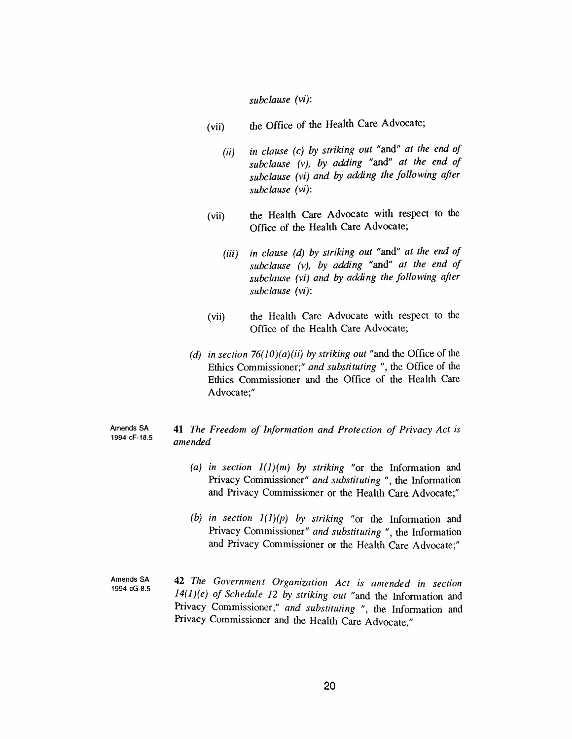*subclause (vi):*

- *(vii) the Office of the Health Care Advocate;*
	- *(ii) in clause (c) by striking out "and" at the end of subclause (v), by adding "and" at the end of subclause (vi) and by adding the following after subclause (vi):*
- *(vii) the Health Care Advocate with respect to the Office of the Health Care Advocate;*
	- *(iii) in clause (d) by striking out "and" at the end of subclause (v), by adding "and" at the end of subclause (vi) and by adding the following after subclause (vi):*
- *(vii) the Health Care Advocate with respect to the Office of the Health Care Advocate;*
- *(d) in section 76(10)(a)(ii) by striking out "and the Office of the Ethics Commissioner;" and substituting ", the Office of the Ethics Commissioner and the Office of the Health Care Advocate;"*

#### *Amends SA 1994 cF-18.5 41 The Freedom of Information and Protection of Privacy Act is amended*

- *(a) in section 1(1)(m) by striking "or the Information and Privacy Commissioner" and substituting ", the Information and Privacy Commissioner or the Health Care Advocate;"*
- *(b) in section 1(1)(p) by striking "or the Information and Privacy Commissioner" and substituting ", the Information and Privacy Commissioner or the Health Care Advocate;"*
- *Amends SA 1994 cG-8.5 42 The Government Organization Act is amended in section 14(1)(e) of Schedule 12 by striking out "and the Information and Privacy Commissioner," and substituting ", the Information and Privacy Commissioner and the Health Care Advocate,"*